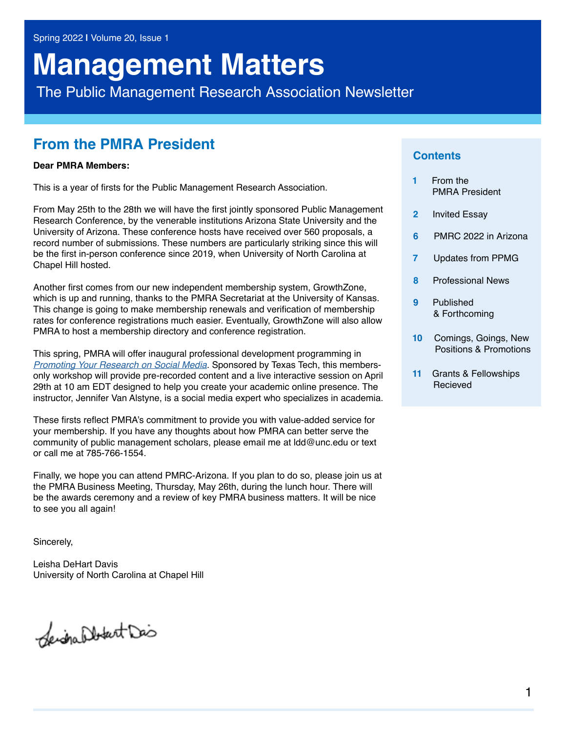# **Management Matters**

The Public Management Research Association Newsletter

### **From the PMRA President**

#### **Dear PMRA Members:**

This is a year of firsts for the Public Management Research Association.

From May 25th to the 28th we will have the first jointly sponsored Public Management Research Conference, by the venerable institutions Arizona State University and the University of Arizona. These conference hosts have received over 560 proposals, a record number of submissions. These numbers are particularly striking since this will be the first in-person conference since 2019, when University of North Carolina at Chapel Hill hosted.

Another first comes from our new independent membership system, GrowthZone, which is up and running, thanks to the PMRA Secretariat at the University of Kansas. This change is going to make membership renewals and verification of membership rates for conference registrations much easier. Eventually, GrowthZone will also allow PMRA to host a membership directory and conference registration.

This spring, PMRA will offer inaugural professional development programming in *[Promoting Your Research on Social Media](http://pmranet.org/wp-content/uploads/PMRA-TT.Building-Your-Academic-Presence-on-Social-Media.CLOSING-APRIL-29-2022.pdf)*. Sponsored by Texas Tech, this membersonly workshop will provide pre-recorded content and a live interactive session on April 29th at 10 am EDT designed to help you create your academic online presence. The instructor, Jennifer Van Alstyne, is a social media expert who specializes in academia.

These firsts reflect PMRA's commitment to provide you with value-added service for your membership. If you have any thoughts about how PMRA can better serve the community of public management scholars, please email me at ldd@unc.edu or text or call me at 785-766-1554.

Finally, we hope you can attend PMRC-Arizona. If you plan to do so, please join us at the PMRA Business Meeting, Thursday, May 26th, during the lunch hour. There will be the awards ceremony and a review of key PMRA business matters. It will be nice to see you all again!

Sincerely,

Leisha DeHart Davis University of North Carolina at Chapel Hill

Seignalblant Dis

#### **Contents**

- **1** From the PMRA President
- **2** Invited Essay
- **6** PMRC 2022 in Arizona
- **7** Updates from PPMG
- **8** Professional News
- **9** Published & Forthcoming
- **10** Comings, Goings, New Positions & Promotions
- **11** Grants & Fellowships **Recieved**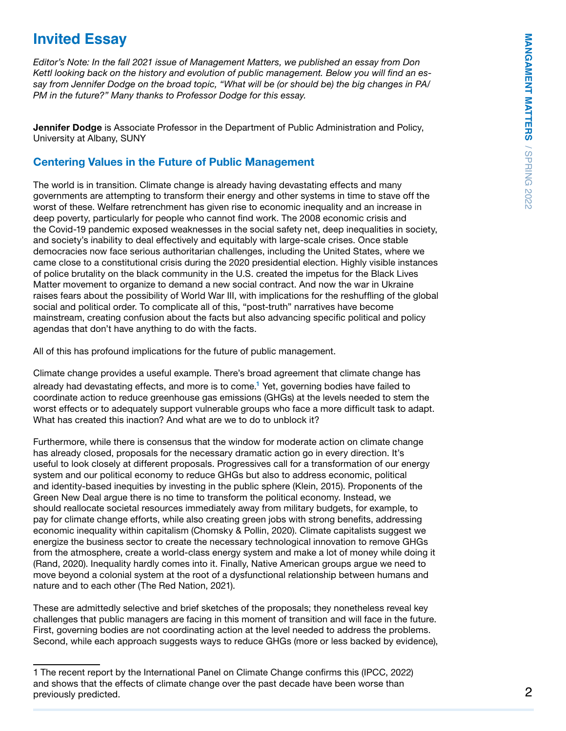# **Invited Essay**

*Editor's Note: In the fall 2021 issue of Management Matters, we published an essay from Don Kettl looking back on the history and evolution of public management. Below you will find an essay from Jennifer Dodge on the broad topic, "What will be (or should be) the big changes in PA/ PM in the future?" Many thanks to Professor Dodge for this essay.* 

Jennifer Dodge is Associate Professor in the Department of Public Administration and Policy, University at Albany, SUNY

#### Centering Values in the Future of Public Management

The world is in transition. Climate change is already having devastating effects and many governments are attempting to transform their energy and other systems in time to stave off the worst of these. Welfare retrenchment has given rise to economic inequality and an increase in deep poverty, particularly for people who cannot find work. The 2008 economic crisis and the Covid-19 pandemic exposed weaknesses in the social safety net, deep inequalities in society, and society's inability to deal effectively and equitably with large-scale crises. Once stable democracies now face serious authoritarian challenges, including the United States, where we came close to a constitutional crisis during the 2020 presidential election. Highly visible instances of police brutality on the black community in the U.S. created the impetus for the Black Lives Matter movement to organize to demand a new social contract. And now the war in Ukraine raises fears about the possibility of World War III, with implications for the reshuffling of the global social and political order. To complicate all of this, "post-truth" narratives have become mainstream, creating confusion about the facts but also advancing specific political and policy agendas that don't have anything to do with the facts.

All of this has profound implications for the future of public management.

Climate change provides a useful example. There's broad agreement that climate change has already had devastating effects, and more is to come.<sup>1</sup> Yet, governing bodies have failed to coordinate action to reduce greenhouse gas emissions (GHGs) at the levels needed to stem the worst effects or to adequately support vulnerable groups who face a more difficult task to adapt. What has created this inaction? And what are we to do to unblock it?

Furthermore, while there is consensus that the window for moderate action on climate change has already closed, proposals for the necessary dramatic action go in every direction. It's useful to look closely at different proposals. Progressives call for a transformation of our energy system and our political economy to reduce GHGs but also to address economic, political and identity-based inequities by investing in the public sphere (Klein, 2015). Proponents of the Green New Deal argue there is no time to transform the political economy. Instead, we should reallocate societal resources immediately away from military budgets, for example, to pay for climate change efforts, while also creating green jobs with strong benefits, addressing economic inequality within capitalism (Chomsky & Pollin, 2020). Climate capitalists suggest we energize the business sector to create the necessary technological innovation to remove GHGs from the atmosphere, create a world-class energy system and make a lot of money while doing it (Rand, 2020). Inequality hardly comes into it. Finally, Native American groups argue we need to move beyond a colonial system at the root of a dysfunctional relationship between humans and nature and to each other (The Red Nation, 2021).

These are admittedly selective and brief sketches of the proposals; they nonetheless reveal key challenges that public managers are facing in this moment of transition and will face in the future. First, governing bodies are not coordinating action at the level needed to address the problems. Second, while each approach suggests ways to reduce GHGs (more or less backed by evidence),

<sup>1</sup> The recent report by the International Panel on Climate Change confirms this (IPCC, 2022) and shows that the effects of climate change over the past decade have been worse than previously predicted.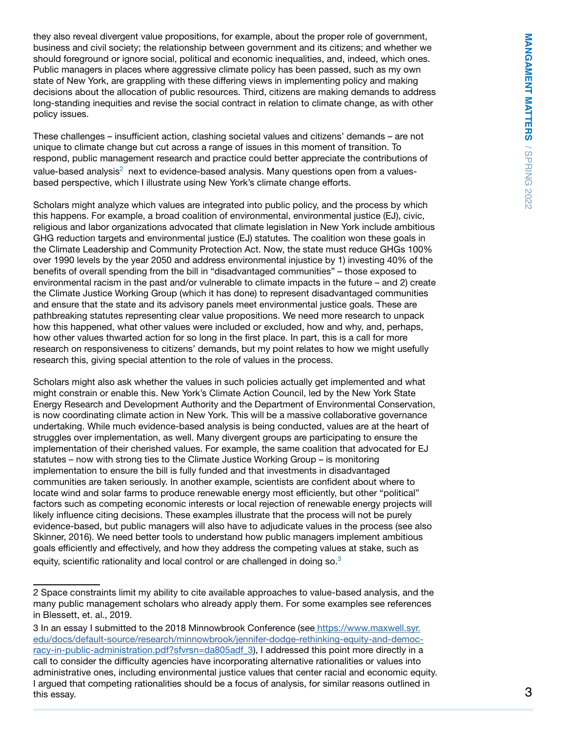they also reveal divergent value propositions, for example, about the proper role of government, business and civil society; the relationship between government and its citizens; and whether we should foreground or ignore social, political and economic inequalities, and, indeed, which ones. Public managers in places where aggressive climate policy has been passed, such as my own state of New York, are grappling with these differing views in implementing policy and making decisions about the allocation of public resources. Third, citizens are making demands to address long-standing inequities and revise the social contract in relation to climate change, as with other policy issues.

These challenges – insufficient action, clashing societal values and citizens' demands – are not unique to climate change but cut across a range of issues in this moment of transition. To respond, public management research and practice could better appreciate the contributions of value-based analysis $^2\,$  next to evidence-based analysis. Many questions open from a valuesbased perspective, which I illustrate using New York's climate change efforts.

Scholars might analyze which values are integrated into public policy, and the process by which this happens. For example, a broad coalition of environmental, environmental justice (EJ), civic, religious and labor organizations advocated that climate legislation in New York include ambitious GHG reduction targets and environmental justice (EJ) statutes. The coalition won these goals in the Climate Leadership and Community Protection Act. Now, the state must reduce GHGs 100% over 1990 levels by the year 2050 and address environmental injustice by 1) investing 40% of the benefits of overall spending from the bill in "disadvantaged communities" – those exposed to environmental racism in the past and/or vulnerable to climate impacts in the future – and 2) create the Climate Justice Working Group (which it has done) to represent disadvantaged communities and ensure that the state and its advisory panels meet environmental justice goals. These are pathbreaking statutes representing clear value propositions. We need more research to unpack how this happened, what other values were included or excluded, how and why, and, perhaps, how other values thwarted action for so long in the first place. In part, this is a call for more research on responsiveness to citizens' demands, but my point relates to how we might usefully research this, giving special attention to the role of values in the process.

Scholars might also ask whether the values in such policies actually get implemented and what might constrain or enable this. New York's Climate Action Council, led by the New York State Energy Research and Development Authority and the Department of Environmental Conservation, is now coordinating climate action in New York. This will be a massive collaborative governance undertaking. While much evidence-based analysis is being conducted, values are at the heart of struggles over implementation, as well. Many divergent groups are participating to ensure the implementation of their cherished values. For example, the same coalition that advocated for EJ statutes – now with strong ties to the Climate Justice Working Group – is monitoring implementation to ensure the bill is fully funded and that investments in disadvantaged communities are taken seriously. In another example, scientists are confident about where to locate wind and solar farms to produce renewable energy most efficiently, but other "political" factors such as competing economic interests or local rejection of renewable energy projects will likely influence citing decisions. These examples illustrate that the process will not be purely evidence-based, but public managers will also have to adjudicate values in the process (see also Skinner, 2016). We need better tools to understand how public managers implement ambitious goals efficiently and effectively, and how they address the competing values at stake, such as equity, scientific rationality and local control or are challenged in doing so. $3$ 

<sup>2</sup> Space constraints limit my ability to cite available approaches to value-based analysis, and the many public management scholars who already apply them. For some examples see references in Blessett, et. al., 2019.

<sup>3</sup> In an essay I submitted to the 2018 Minnowbrook Conference (see [https://www.maxwell.syr.]( https://www.maxwell.syr.edu/docs/default-source/research/minnowbrook/jennifer-dodge-rethinking-equity-and-democracy-in-public-administration.pdf?sfvrsn=da805adf_3) [edu/docs/default-source/research/minnowbrook/jennifer-dodge-rethinking-equity-and-democ]( https://www.maxwell.syr.edu/docs/default-source/research/minnowbrook/jennifer-dodge-rethinking-equity-and-democracy-in-public-administration.pdf?sfvrsn=da805adf_3)racy-in-public-administration.pdf?sfvrsn=da805adf 3), I addressed this point more directly in a call to consider the difficulty agencies have incorporating alternative rationalities or values into administrative ones, including environmental justice values that center racial and economic equity. I argued that competing rationalities should be a focus of analysis, for similar reasons outlined in this essay.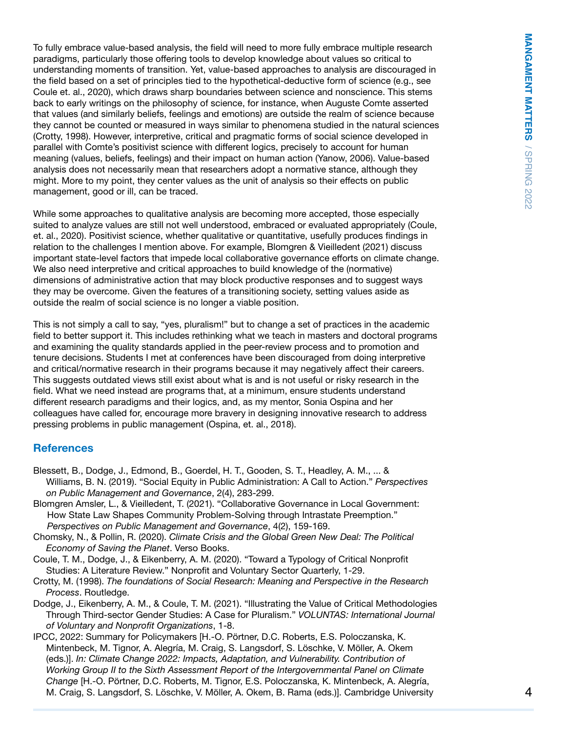To fully embrace value-based analysis, the field will need to more fully embrace multiple research paradigms, particularly those offering tools to develop knowledge about values so critical to understanding moments of transition. Yet, value-based approaches to analysis are discouraged in the field based on a set of principles tied to the hypothetical-deductive form of science (e.g., see Coule et. al., 2020), which draws sharp boundaries between science and nonscience. This stems back to early writings on the philosophy of science, for instance, when Auguste Comte asserted that values (and similarly beliefs, feelings and emotions) are outside the realm of science because they cannot be counted or measured in ways similar to phenomena studied in the natural sciences (Crotty, 1998). However, interpretive, critical and pragmatic forms of social science developed in parallel with Comte's positivist science with different logics, precisely to account for human meaning (values, beliefs, feelings) and their impact on human action (Yanow, 2006). Value-based analysis does not necessarily mean that researchers adopt a normative stance, although they might. More to my point, they center values as the unit of analysis so their effects on public management, good or ill, can be traced.

While some approaches to qualitative analysis are becoming more accepted, those especially suited to analyze values are still not well understood, embraced or evaluated appropriately (Coule, et. al., 2020). Positivist science, whether qualitative or quantitative, usefully produces findings in relation to the challenges I mention above. For example, Blomgren & Vieilledent (2021) discuss important state-level factors that impede local collaborative governance efforts on climate change. We also need interpretive and critical approaches to build knowledge of the (normative) dimensions of administrative action that may block productive responses and to suggest ways they may be overcome. Given the features of a transitioning society, setting values aside as outside the realm of social science is no longer a viable position.

This is not simply a call to say, "yes, pluralism!" but to change a set of practices in the academic field to better support it. This includes rethinking what we teach in masters and doctoral programs and examining the quality standards applied in the peer-review process and to promotion and tenure decisions. Students I met at conferences have been discouraged from doing interpretive and critical/normative research in their programs because it may negatively affect their careers. This suggests outdated views still exist about what is and is not useful or risky research in the field. What we need instead are programs that, at a minimum, ensure students understand different research paradigms and their logics, and, as my mentor, Sonia Ospina and her colleagues have called for, encourage more bravery in designing innovative research to address pressing problems in public management (Ospina, et. al., 2018).

#### **References**

- Blessett, B., Dodge, J., Edmond, B., Goerdel, H. T., Gooden, S. T., Headley, A. M., ... & Williams, B. N. (2019). "Social Equity in Public Administration: A Call to Action." *Perspectives on Public Management and Governance*, 2(4), 283-299.
- Blomgren Amsler, L., & Vieilledent, T. (2021). "Collaborative Governance in Local Government: How State Law Shapes Community Problem-Solving through Intrastate Preemption." *Perspectives on Public Management and Governance*, 4(2), 159-169.
- Chomsky, N., & Pollin, R. (2020). *Climate Crisis and the Global Green New Deal: The Political Economy of Saving the Planet*. Verso Books.
- Coule, T. M., Dodge, J., & Eikenberry, A. M. (2020). "Toward a Typology of Critical Nonprofit Studies: A Literature Review." Nonprofit and Voluntary Sector Quarterly, 1-29.
- Crotty, M. (1998). *The foundations of Social Research: Meaning and Perspective in the Research Process*. Routledge.
- Dodge, J., Eikenberry, A. M., & Coule, T. M. (2021). "Illustrating the Value of Critical Methodologies Through Third-sector Gender Studies: A Case for Pluralism." *VOLUNTAS: International Journal of Voluntary and Nonprofit Organizations*, 1-8.
- IPCC, 2022: Summary for Policymakers [H.-O. Pörtner, D.C. Roberts, E.S. Poloczanska, K. Mintenbeck, M. Tignor, A. Alegría, M. Craig, S. Langsdorf, S. Löschke, V. Möller, A. Okem (eds.)]. *In: Climate Change 2022: Impacts, Adaptation, and Vulnerability. Contribution of Working Group II to the Sixth Assessment Report of the Intergovernmental Panel on Climate Change* [H.-O. Pörtner, D.C. Roberts, M. Tignor, E.S. Poloczanska, K. Mintenbeck, A. Alegría, M. Craig, S. Langsdorf, S. Löschke, V. Möller, A. Okem, B. Rama (eds.)]. Cambridge University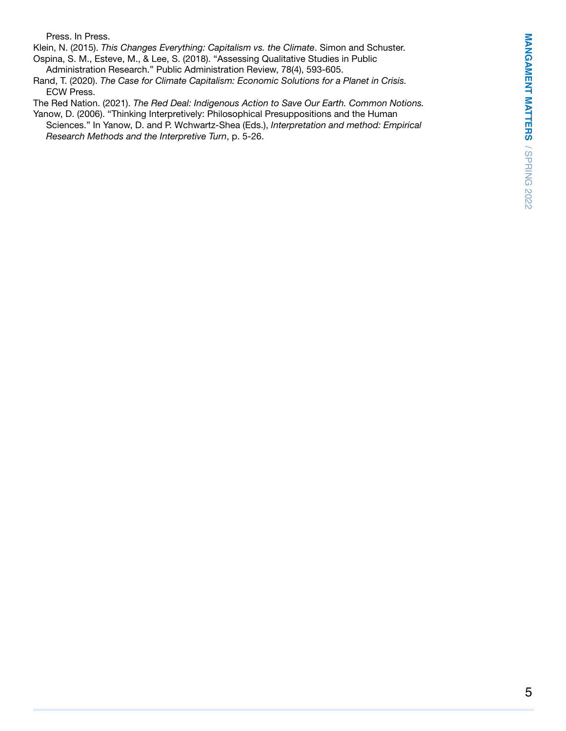MANGAMENT MATTERS / SPRING 2022 5**MANGAMENT MATTERS** / SPRING 2022

Press. In Press.

Klein, N. (2015). *This Changes Everything: Capitalism vs. the Climate*. Simon and Schuster. Ospina, S. M., Esteve, M., & Lee, S. (2018). "Assessing Qualitative Studies in Public Administration Research." Public Administration Review, 78(4), 593-605.

Rand, T. (2020). *The Case for Climate Capitalism: Economic Solutions for a Planet in Crisis.* ECW Press.

The Red Nation. (2021). *The Red Deal: Indigenous Action to Save Our Earth. Common Notions.*

Yanow, D. (2006). "Thinking Interpretively: Philosophical Presuppositions and the Human Sciences." In Yanow, D. and P. Wchwartz-Shea (Eds.), *Interpretation and method: Empirical Research Methods and the Interpretive Turn*, p. 5-26.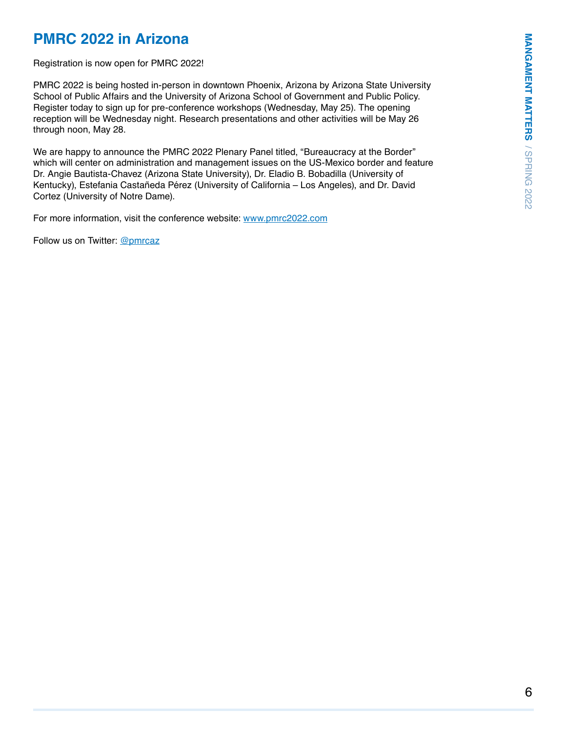# MANGAMENT MATTERS / SPRING 2022 6**MANGAMENT MATTERS** / SPRING 2022

# **PMRC 2022 in Arizona**

Registration is now open for PMRC 2022!

PMRC 2022 is being hosted in-person in downtown Phoenix, Arizona by Arizona State University School of Public Affairs and the University of Arizona School of Government and Public Policy. Register today to sign up for pre-conference workshops (Wednesday, May 25). The opening reception will be Wednesday night. Research presentations and other activities will be May 26 through noon, May 28.

We are happy to announce the PMRC 2022 Plenary Panel titled, "Bureaucracy at the Border" which will center on administration and management issues on the US-Mexico border and feature Dr. Angie Bautista-Chavez (Arizona State University), Dr. Eladio B. Bobadilla (University of Kentucky), Estefania Castañeda Pérez (University of California – Los Angeles), and Dr. David Cortez (University of Notre Dame).

For more information, visit the conference website: <www.pmrc2022.com>

Follow us on Twitter: [@pmrcaz](mailto:@pmrcaz)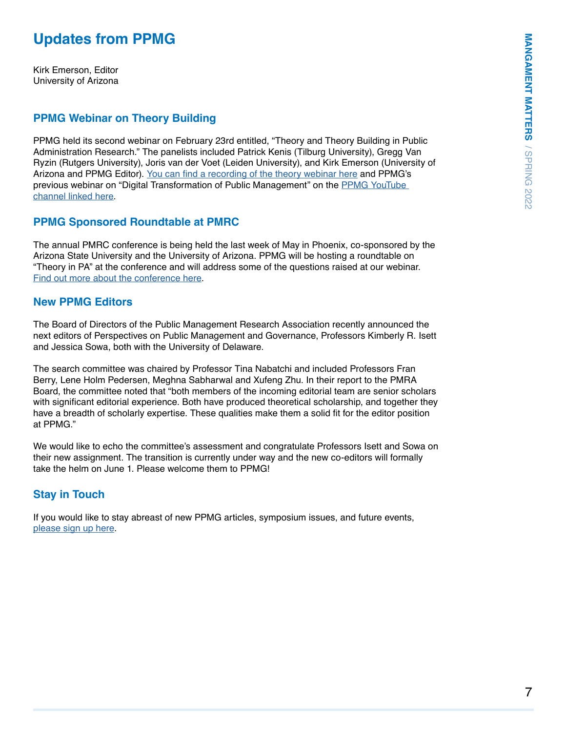# **Updates from PPMG**

Kirk Emerson, Editor University of Arizona

#### **PPMG Webinar on Theory Building**

PPMG held its second webinar on February 23rd entitled, "Theory and Theory Building in Public Administration Research." The panelists included Patrick Kenis (Tilburg University), Gregg Van Ryzin (Rutgers University), Joris van der Voet (Leiden University), and Kirk Emerson (University of Arizona and PPMG Editor). [You can find a recording of the theory webinar here](https://www.youtube.com/watch?v=LpuTcTeqU6c) and PPMG's previous webinar on "Digital Transformation of Public Management" on the [PPMG YouTube](https://www.youtube.com/channel/UC-hTwLi3yJLjg2_wec4n24w)  [channel linked here.](https://www.youtube.com/channel/UC-hTwLi3yJLjg2_wec4n24w)

#### **PPMG Sponsored Roundtable at PMRC**

The annual PMRC conference is being held the last week of May in Phoenix, co-sponsored by the Arizona State University and the University of Arizona. PPMG will be hosting a roundtable on "Theory in PA" at the conference and will address some of the questions raised at our webinar. [Find out more about the conference here.](http://www.pmrc2022.com/)

#### **New PPMG Editors**

The Board of Directors of the Public Management Research Association recently announced the next editors of Perspectives on Public Management and Governance, Professors Kimberly R. Isett and Jessica Sowa, both with the University of Delaware.

The search committee was chaired by Professor Tina Nabatchi and included Professors Fran Berry, Lene Holm Pedersen, Meghna Sabharwal and Xufeng Zhu. In their report to the PMRA Board, the committee noted that "both members of the incoming editorial team are senior scholars with significant editorial experience. Both have produced theoretical scholarship, and together they have a breadth of scholarly expertise. These qualities make them a solid fit for the editor position at PPMG."

We would like to echo the committee's assessment and congratulate Professors Isett and Sowa on their new assignment. The transition is currently under way and the new co-editors will formally take the helm on June 1. Please welcome them to PPMG!

#### **Stay in Touch**

If you would like to stay abreast of new PPMG articles, symposium issues, and future events, [please sign up here](https://academic.oup.com/journals/pages/help/journal_alerts).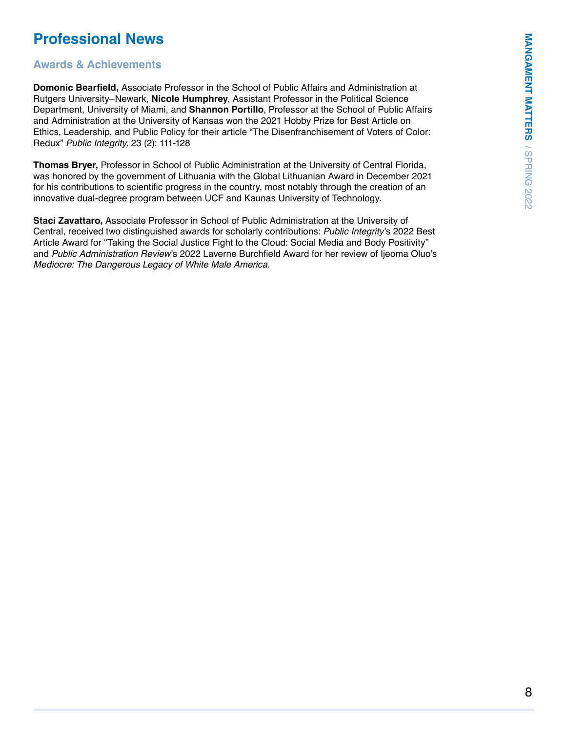# **Professional News**

#### **Awards & Achievements**

**Domonic Bearfield,** Associate Professor in the School of Public Affairs and Administration at Rutgers University–Newark, **Nicole Humphrey**, Assistant Professor in the Political Science Department, University of Miami, and **Shannon Portillo**, Professor at the School of Public Affairs and Administration at the University of Kansas won the 2021 Hobby Prize for Best Article on Ethics, Leadership, and Public Policy for their article "The Disenfranchisement of Voters of Color: Redux" *Public Integrity,* 23 (2): 111-128

**Thomas Bryer,** Professor in School of Public Administration at the University of Central Florida, was honored by the government of Lithuania with the Global Lithuanian Award in December 2021 for his contributions to scientific progress in the country, most notably through the creation of an innovative dual-degree program between UCF and Kaunas University of Technology.

**Staci Zavattaro,** Associate Professor in School of Public Administration at the University of Central, received two distinguished awards for scholarly contributions: *Public Integrity*'s 2022 Best Article Award for "Taking the Social Justice Fight to the Cloud: Social Media and Body Positivity" and *Public Administration Review*'s 2022 Laverne Burchfield Award for her review of Ijeoma Oluo's *Mediocre: The Dangerous Legacy of White Male America*.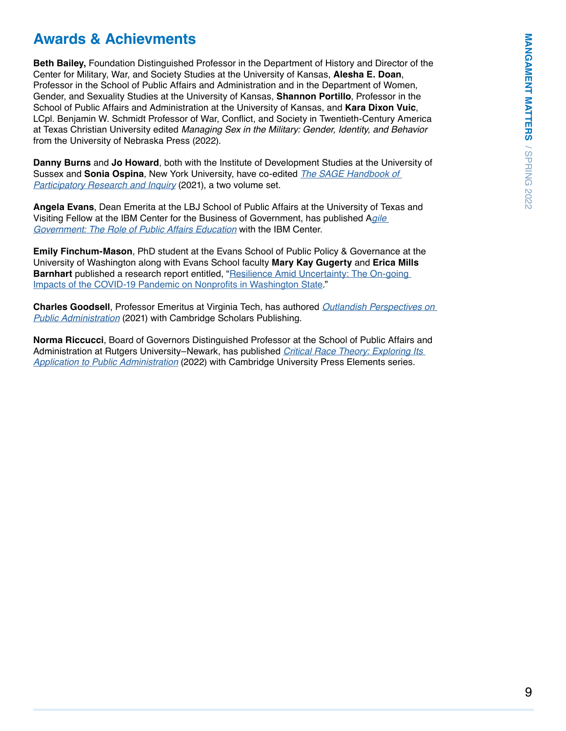# **Awards & Achievments**

**Beth Bailey,** Foundation Distinguished Professor in the Department of History and Director of the Center for Military, War, and Society Studies at the University of Kansas, **Alesha E. Doan**, Professor in the School of Public Affairs and Administration and in the Department of Women, Gender, and Sexuality Studies at the University of Kansas, **Shannon Portillo**, Professor in the School of Public Affairs and Administration at the University of Kansas, and **Kara Dixon Vuic**, LCpl. Benjamin W. Schmidt Professor of War, Conflict, and Society in Twentieth-Century America at Texas Christian University edited *Managing Sex in the Military: Gender, Identity, and Behavior*  from the University of Nebraska Press (2022).

**Danny Burns** and **Jo Howard**, both with the Institute of Development Studies at the University of Sussex and **Sonia Ospina**, New York University, have co-edited *[The SAGE Handbook of](https://uk.sagepub.com/en-gb/eur/the-sage-handbook-of-participatory-research-and-inquiry/book260608)  [Participatory Research and Inquiry](https://uk.sagepub.com/en-gb/eur/the-sage-handbook-of-participatory-research-and-inquiry/book260608)* (2021), a two volume set.

**Angela Evans**, Dean Emerita at the LBJ School of Public Affairs at the University of Texas and Visiting Fellow at the IBM Center for the Business of Government, has published A*[gile](https://www.businessofgovernment.org/report/agile-government-role-public-affairs-education)  [Government: The Role of Public Affairs Education](https://www.businessofgovernment.org/report/agile-government-role-public-affairs-education)* with the IBM Center.

**Emily Finchum-Mason**, PhD student at the Evans School of Public Policy & Governance at the University of Washington along with Evans School faculty **Mary Kay Gugerty** and **Erica Mills Barnhart** published a research report entitled, "Resilience Amid Uncertainty: The On-going [Impacts of the COVID-19 Pandemic on Nonprofits in Washington State](https://uw-s3-cdn.s3.us-west-2.amazonaws.com/wp-content/uploads/sites/6/2021/12/14080516/Nonprofits-and-COVID_Resilience-Amid-Uncertainty_FINAL.pdf)."

**Charles Goodsell**, Professor Emeritus at Virginia Tech, has authored *[Outlandish Perspectives on](https://www.cambridgescholars.com/product/978-1-5275-7578-3)  [Public Administration](https://www.cambridgescholars.com/product/978-1-5275-7578-3)* (2021) with Cambridge Scholars Publishing.

**Norma Riccucci**, Board of Governors Distinguished Professor at the School of Public Affairs and Administration at Rutgers University–Newark, has published *[Critical Race Theory: Exploring Its](https://www.cambridge.org/core/books/critical-race-theory/F09ECE8A7C0A75F6DBEC76D050DD3B6B#)  [Application to Public Administration](https://www.cambridge.org/core/books/critical-race-theory/F09ECE8A7C0A75F6DBEC76D050DD3B6B#)* (2022) with Cambridge University Press Elements series.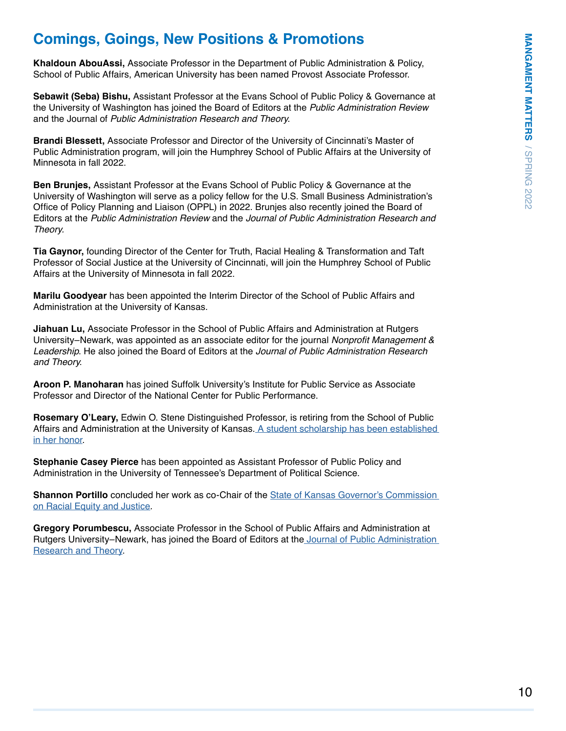# **Comings, Goings, New Positions & Promotions**

**Khaldoun AbouAssi,** Associate Professor in the Department of Public Administration & Policy, School of Public Affairs, American University has been named Provost Associate Professor.

**Sebawit (Seba) Bishu,** Assistant Professor at the Evans School of Public Policy & Governance at the University of Washington has joined the Board of Editors at the *Public Administration Review*  and the Journal of *Public Administration Research and Theory*.

**Brandi Blessett,** Associate Professor and Director of the University of Cincinnati's Master of Public Administration program, will join the Humphrey School of Public Affairs at the University of Minnesota in fall 2022.

**Ben Brunjes,** Assistant Professor at the Evans School of Public Policy & Governance at the University of Washington will serve as a policy fellow for the U.S. Small Business Administration's Office of Policy Planning and Liaison (OPPL) in 2022. Brunjes also recently joined the Board of Editors at the *Public Administration Review* and the *Journal of Public Administration Research and Theory.*

**Tia Gaynor,** founding Director of the Center for Truth, Racial Healing & Transformation and Taft Professor of Social Justice at the University of Cincinnati, will join the Humphrey School of Public Affairs at the University of Minnesota in fall 2022.

**Marilu Goodyear** has been appointed the Interim Director of the School of Public Affairs and Administration at the University of Kansas.

**Jiahuan Lu,** Associate Professor in the School of Public Affairs and Administration at Rutgers University–Newark, was appointed as an associate editor for the journal Nonprofit Management & *Leadership*. He also joined the Board of Editors at the *Journal of Public Administration Research and Theory*.

**Aroon P. Manoharan** has joined Suffolk University's Institute for Public Service as Associate Professor and Director of the National Center for Public Performance.

**Rosemary O'Leary,** Edwin O. Stene Distinguished Professor, is retiring from the School of Public Affairs and Administration at the University of Kansas[. A student scholarship has been established](https://www.launchku.org/project/31053)  [in her honor](https://www.launchku.org/project/31053).

**Stephanie Casey Pierce** has been appointed as Assistant Professor of Public Policy and Administration in the University of Tennessee's Department of Political Science.

**Shannon Portillo** concluded her work as co-Chair of the [State of Kansas Governor's Commission](https://governor.kansas.gov/governors-commission-on-racial-equity-and-justice/)  [on Racial Equity and Justice](https://governor.kansas.gov/governors-commission-on-racial-equity-and-justice/).

**Gregory Porumbescu,** Associate Professor in the School of Public Affairs and Administration at Rutgers University–Newark, has joined the Board of Editors at th[e Journal of Public Administration](https://academic.oup.com/jpart)  [Research and Theory.](https://academic.oup.com/jpart)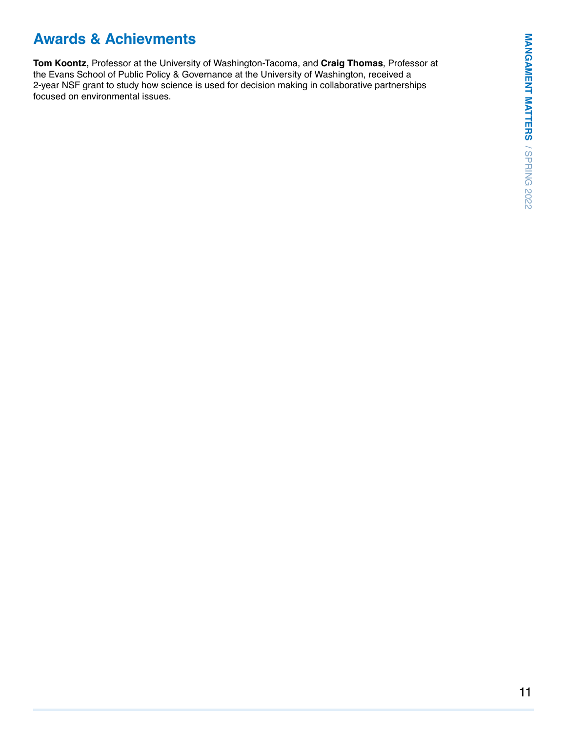# **Awards & Achievments**

**Tom Koontz,** Professor at the University of Washington-Tacoma, and **Craig Thomas**, Professor at the Evans School of Public Policy & Governance at the University of Washington, received a 2-year NSF grant to study how science is used for decision making in collaborative partnerships focused on environmental issues.